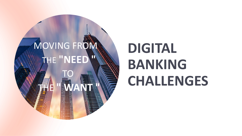

# **DIGITAL BANKING CHALLENGES**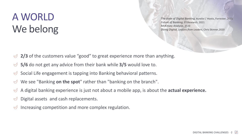### Α WORLD We belong

*The state of Digital Banking*, Aurelie L' Hostis, Forrester, 2021 *Future of Banking*, EY Research, 2021 *McKinsey Analysis*, 2020 *Doing Digital, Lessons from Leaders*, Chris Skinner,2020

- $\triangle$  2/3 of the customers value "good" to great experience more than anything.
- **5/6** do not get any advice from their bank while **3/5** would love to.
- Social Life engagement is tapping into Banking behavioral patterns.  $\bigcirc$
- We see "Banking **on the spot**" rather than "banking on the branch".
- A digital banking experience is just not about a mobile app, is about the **actual experience.**
- Digital assets and cash replacements.
- Increasing competition and more complex regulation.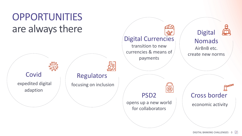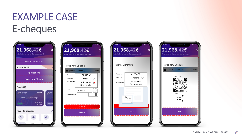### EXAMPLE CASE E-cheques

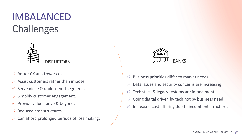### IMBALANCED **Challenges**



- Better CX at a Lower cost.  $\sqrt{ }$
- Assist customers rather than impose.  $\bigcirc$
- Serve niche & undeserved segments.  $\bigcup$
- Simplify customer engagement.  $\bigtriangledown$
- Provide value above & beyond.  $\bigvee$
- Reduced cost structures.  $\sim$
- $\bigcirc$ Can afford prolonged periods of loss making.



- $\bigcirc$ Business priorities differ to market needs.
- Data issues and security concerns are increasing.  $\bigcirc$
- Tech stack & legacy systems are impediments.  $\bigcirc$
- Going digital driven by tech not by business need.  $\bigcirc$
- Increased cost offering due to incumbent structures.  $\bigcirc$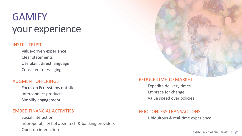### **GAMIFY** your experience

#### INSTILL TRUST

Value-driven experience Clear statements Use plain, direct language Consistent messaging

#### AUGMENT OFFERINGS

Focus on Ecosystems not silos Interconnect products Simplify engagement

#### EMBED FINANCIAL ACTIVITIES

Social interaction Interoperability between tech & banking providers Open-up interaction

#### REDUCE TIME TO MARKET

Expedite delivery times Embrace for change Value speed over policies

#### FRICTIONLESS TRANSACTIONS

Ubiquitous & real-time experience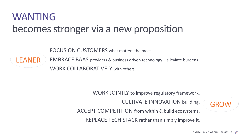### WANTING becomes stronger via a new proposition

FOCUS ON CUSTOMERS what matters the most.

LEANER

EMBRACE BAAS providers & business driven technology …alleviate burdens. WORK COLLABORATIVELY with others.

WORK JOINTLY to improve regulatory framework.

CULTIVATE INNOVATION building.

**GROW** 

ACCEPT COMPETITION from within & build ecosystems.

REPLACE TECH STACK rather than simply improve it.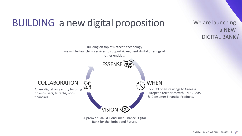### BUILDING a new digital proposition

We are launching a NEW DIGITAL BANK!



A premier BaaS & Consumer Finance Digital Bank for the Embedded Future.